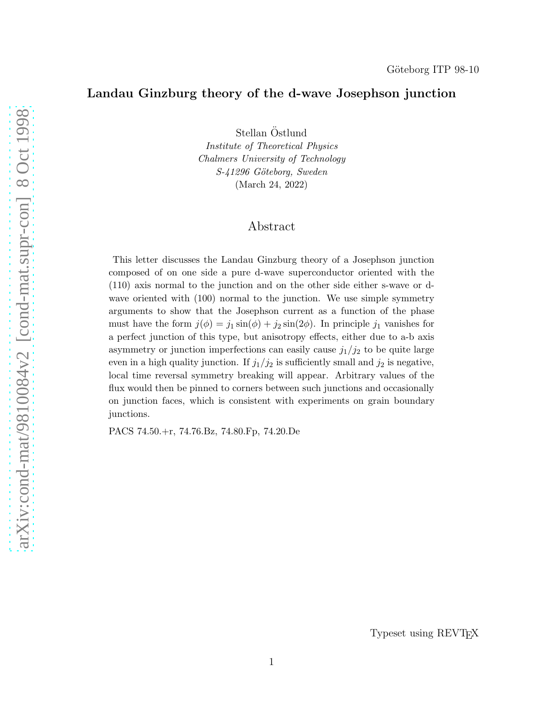## Landau Ginzburg theory of the d-wave Josephson junction

Stellan Östlund

Institute of Theoretical Physics Chalmers University of Technology S-41296 Göteborg, Sweden (March 24, 2022)

# Abstract

This letter discusses the Landau Ginzburg theory of a Josephson junction composed of on one side a pure d-wave superconductor oriented with the (110) axis normal to the junction and on the other side either s-wave or dwave oriented with (100) normal to the junction. We use simple symmetry arguments to show that the Josephson current as a function of the phase must have the form  $j(\phi) = j_1 \sin(\phi) + j_2 \sin(2\phi)$ . In principle  $j_1$  vanishes for a perfect junction of this type, but anisotropy effects, either due to a-b axis asymmetry or junction imperfections can easily cause  $j_1/j_2$  to be quite large even in a high quality junction. If  $j_1/j_2$  is sufficiently small and  $j_2$  is negative, local time reversal symmetry breaking will appear. Arbitrary values of the flux would then be pinned to corners between such junctions and occasionally on junction faces, which is consistent with experiments on grain boundary junctions.

PACS 74.50.+r, 74.76.Bz, 74.80.Fp, 74.20.De

Typeset using REVT<sub>F</sub>X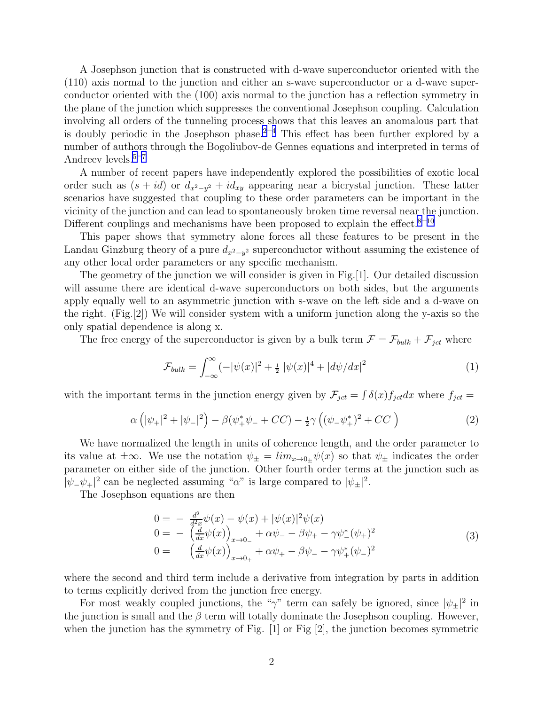A Josephson junction that is constructed with d-wave superconductor oriented with the (110) axis normal to the junction and either an s-wave superconductor or a d-wave superconductor oriented with the (100) axis normal to the junction has a reflection symmetry in the plane of the junction which suppresses the conventional Josephson coupling. Calculation involving all orders of the tunneling process shows that this leaves an anomalous part that is doubly periodic in the Josephson phase.<sup>[2](#page-4-0)–[4](#page-4-0)</sup> This effect has been further explored by a number of authors through the Bogoliubov-de Gennes equations and interpreted in terms of Andreev levels.<sup>[5](#page-4-0)–[7](#page-4-0)</sup>

A number of recent papers have independently explored the possibilities of exotic local order such as  $(s + id)$  or  $d_{x^2-y^2} + id_{xy}$  appearing near a bicrystal junction. These latter scenarios have suggested that coupling to these order parameters can be important in the vicinity of the junction and can lead to spontaneously broken time reversal near the junction. Different couplings and mechanisms have been proposed to explain the effect.<sup>[8](#page-4-0)–[10](#page-4-0)</sup>

This paper shows that symmetry alone forces all these features to be present in the Landau Ginzburg theory of a pure  $d_{x^2-y^2}$  superconductor without assuming the existence of any other local order parameters or any specific mechanism.

The geometry of the junction we will consider is given in Fig.[1]. Our detailed discussion will assume there are identical d-wave superconductors on both sides, but the arguments apply equally well to an asymmetric junction with s-wave on the left side and a d-wave on the right. (Fig.[2]) We will consider system with a uniform junction along the y-axis so the only spatial dependence is along x.

The free energy of the superconductor is given by a bulk term  $\mathcal{F} = \mathcal{F}_{bulk} + \mathcal{F}_{jet}$  where

$$
\mathcal{F}_{bulk} = \int_{-\infty}^{\infty} (-|\psi(x)|^2 + \frac{1}{2} |\psi(x)|^4 + |d\psi/dx|^2 \tag{1}
$$

with the important terms in the junction energy given by  $\mathcal{F}_{ict} = \int \delta(x) f_{jet} dx$  where  $f_{jet} =$ 

$$
\alpha \left( |\psi_{+}|^{2} + |\psi_{-}|^{2} \right) - \beta (\psi_{+}^{*} \psi_{-} + CC) - \frac{1}{2} \gamma \left( (\psi_{-} \psi_{+}^{*})^{2} + CC \right)
$$
 (2)

We have normalized the length in units of coherence length, and the order parameter to its value at  $\pm\infty$ . We use the notation  $\psi_{\pm} = \lim_{x\to 0_{\pm}} \psi(x)$  so that  $\psi_{\pm}$  indicates the order parameter on either side of the junction. Other fourth order terms at the junction such as  $|\psi_-\psi_+|^2$  can be neglected assuming " $\alpha$ " is large compared to  $|\psi_{\pm}|^2$ .

The Josephson equations are then

$$
0 = -\frac{d^2}{d^2x}\psi(x) - \psi(x) + |\psi(x)|^2\psi(x)
$$
  
\n
$$
0 = -\left(\frac{d}{dx}\psi(x)\right)_{x \to 0_{-}} + \alpha\psi_{-} - \beta\psi_{+} - \gamma\psi_{-}^*(\psi_{+})^2
$$
  
\n
$$
0 = \left(\frac{d}{dx}\psi(x)\right)_{x \to 0_{+}} + \alpha\psi_{+} - \beta\psi_{-} - \gamma\psi_{+}^*(\psi_{-})^2
$$
\n(3)

where the second and third term include a derivative from integration by parts in addition to terms explicitly derived from the junction free energy.

For most weakly coupled junctions, the "γ" term can safely be ignored, since  $|\psi_{\pm}|^2$  in the junction is small and the  $\beta$  term will totally dominate the Josephson coupling. However, when the junction has the symmetry of Fig.  $[1]$  or Fig  $[2]$ , the junction becomes symmetric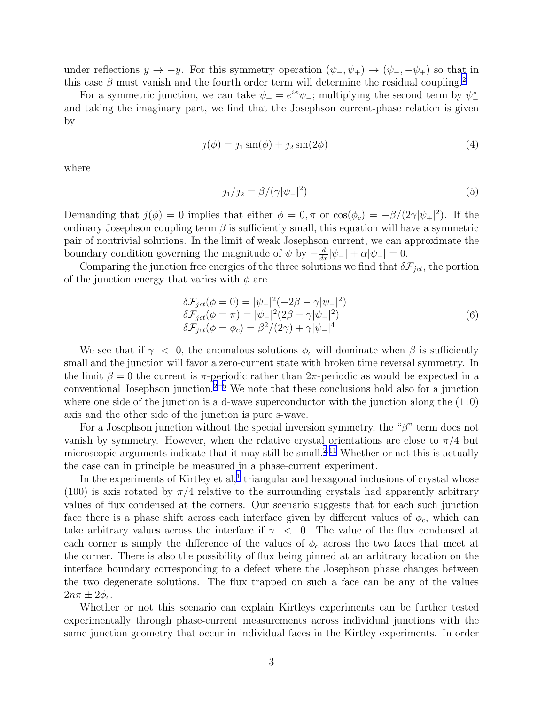<span id="page-2-0"></span>under reflections  $y \to -y$ . For this symmetry operation  $(\psi_-, \psi_+) \to (\psi_-, -\psi_+)$  so that in this case  $\beta$  must vanish and the fourth order term will determine the residual coupling.<sup>[2](#page-4-0)</sup>

For a symmetric junction, we can take  $\psi_+ = e^{i\phi}\psi_-$ ; multiplying the second term by  $\psi_-^*$ and taking the imaginary part, we find that the Josephson current-phase relation is given by

$$
j(\phi) = j_1 \sin(\phi) + j_2 \sin(2\phi) \tag{4}
$$

where

$$
j_1/j_2 = \beta/(\gamma|\psi_-|^2) \tag{5}
$$

Demanding that  $j(\phi) = 0$  implies that either  $\phi = 0, \pi$  or  $\cos(\phi_c) = -\beta/(2\gamma|\psi_+|^2)$ . If the ordinary Josephson coupling term  $\beta$  is sufficiently small, this equation will have a symmetric pair of nontrivial solutions. In the limit of weak Josephson current, we can approximate the boundary condition governing the magnitude of  $\psi$  by  $-\frac{d}{dx}|\psi_-| + \alpha |\psi_-| = 0$ .

Comparing the junction free energies of the three solutions we find that  $\delta F_{ict}$ , the portion of the junction energy that varies with  $\phi$  are

$$
\delta F_{jet}(\phi = 0) = |\psi_{-}|^{2}(-2\beta - \gamma|\psi_{-}|^{2}) \n\delta F_{jet}(\phi = \pi) = |\psi_{-}|^{2}(2\beta - \gamma|\psi_{-}|^{2}) \n\delta F_{jet}(\phi = \phi_{c}) = \beta^{2}/(2\gamma) + \gamma|\psi_{-}|^{4}
$$
\n(6)

We see that if  $\gamma$  < 0, the anomalous solutions  $\phi_c$  will dominate when  $\beta$  is sufficiently small and the junction will favor a zero-current state with broken time reversal symmetry. In the limit  $\beta = 0$  the current is  $\pi$ -periodic rather than  $2\pi$ -periodic as would be expected in a conventional Josephson junction. $2^{-5}$  $2^{-5}$  $2^{-5}$  $2^{-5}$  We note that these conclusions hold also for a junction where one side of the junction is a d-wave superconductor with the junction along the (110) axis and the other side of the junction is pure s-wave.

For a Josephson junction without the special inversion symmetry, the " $\beta$ " term does not vanish by symmetry. However, when the relative crystal orientations are close to  $\pi/4$  but microscopic arguments indicate that it may still be small.<sup>[2](#page-4-0),[11](#page-4-0)</sup> Whether or not this is actually the case can in principle be measured in a phase-current experiment.

In the experiments of Kirtley et al,<sup>[1](#page-4-0)</sup> triangular and hexagonal inclusions of crystal whose (100) is axis rotated by  $\pi/4$  relative to the surrounding crystals had apparently arbitrary values of flux condensed at the corners. Our scenario suggests that for each such junction face there is a phase shift across each interface given by different values of  $\phi_c$ , which can take arbitrary values across the interface if  $\gamma$  < 0. The value of the flux condensed at each corner is simply the difference of the values of  $\phi_c$  across the two faces that meet at the corner. There is also the possibility of flux being pinned at an arbitrary location on the interface boundary corresponding to a defect where the Josephson phase changes between the two degenerate solutions. The flux trapped on such a face can be any of the values  $2n\pi \pm 2\phi_c$ .

Whether or not this scenario can explain Kirtleys experiments can be further tested experimentally through phase-current measurements across individual junctions with the same junction geometry that occur in individual faces in the Kirtley experiments. In order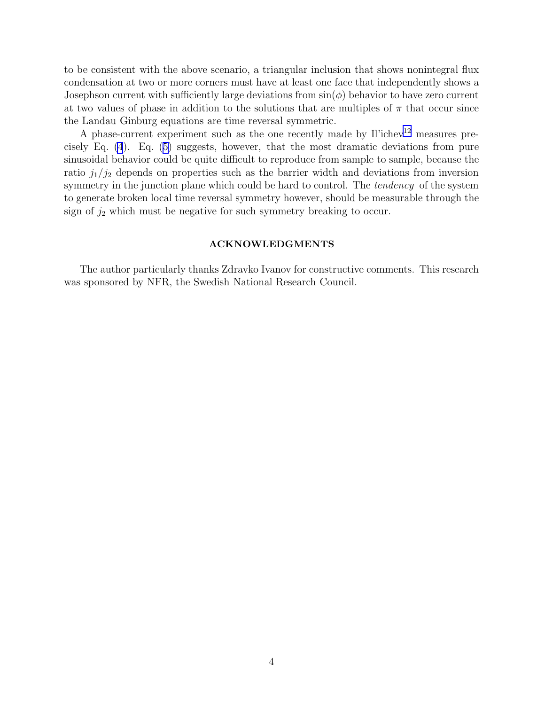to be consistent with the above scenario, a triangular inclusion that shows nonintegral flux condensation at two or more corners must have at least one face that independently shows a Josephson current with sufficiently large deviations from  $\sin(\phi)$  behavior to have zero current at two values of phase in addition to the solutions that are multiples of  $\pi$  that occur since the Landau Ginburg equations are time reversal symmetric.

A phase-current experiment such as the one recently made by Il'ichev<sup>[12](#page-4-0)</sup> measures precisely Eq. [\(4](#page-2-0)). Eq. [\(5\)](#page-2-0) suggests, however, that the most dramatic deviations from pure sinusoidal behavior could be quite difficult to reproduce from sample to sample, because the ratio  $j_1/j_2$  depends on properties such as the barrier width and deviations from inversion symmetry in the junction plane which could be hard to control. The *tendency* of the system to generate broken local time reversal symmetry however, should be measurable through the sign of  $j_2$  which must be negative for such symmetry breaking to occur.

#### ACKNOWLEDGMENTS

The author particularly thanks Zdravko Ivanov for constructive comments. This research was sponsored by NFR, the Swedish National Research Council.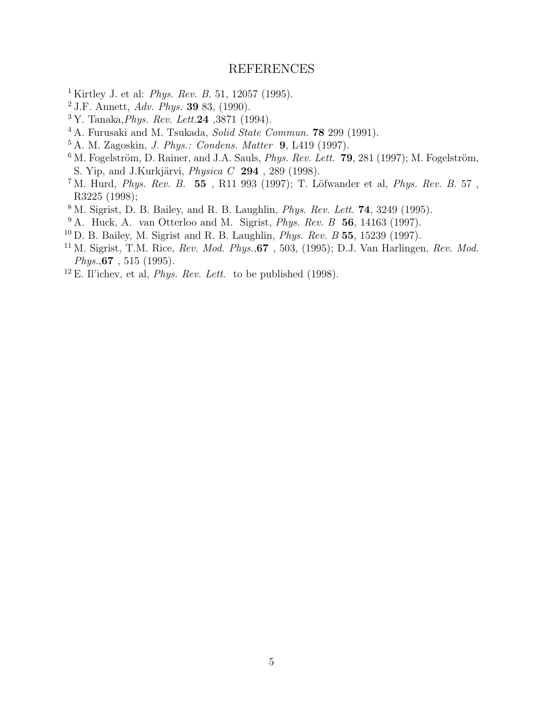## REFERENCES

- <span id="page-4-0"></span>Kirtley J. et al: *Phys. Rev. B.* 51, 12057 (1995).
- J.F. Annett, *Adv. Phys.* 39 83, (1990).
- Y. Tanaka,*Phys. Rev. Lett.*24 ,3871 (1994).
- A. Furusaki and M. Tsukada, *Solid State Commun.* 78 299 (1991).
- A. M. Zagoskin, *J. Phys.: Condens. Matter* 9, L419 (1997).
- M. Fogelström, D. Rainer, and J.A. Sauls, *Phys. Rev. Lett.*  $79$ , 281 (1997); M. Fogelström, S. Yip, and J.Kurkjärvi, *Physica C* 294, 289 (1998).
- <sup>7</sup> M. Hurd, *Phys. Rev. B.* 55, R11 993 (1997); T. Löfwander et al, *Phys. Rev. B.* 57, R3225 (1998);
- M. Sigrist, D. B. Bailey, and R. B. Laughlin, *Phys. Rev. Lett.* 74, 3249 (1995).
- A. Huck, A. van Otterloo and M. Sigrist, *Phys. Rev. B* 56, 14163 (1997).
- D. B. Bailey, M. Sigrist and R. B. Laughlin, *Phys. Rev. B* 55, 15239 (1997).
- M. Sigrist, T.M. Rice, *Rev. Mod. Phys.*,67 , 503, (1995); D.J. Van Harlingen, *Rev. Mod. Phys.*,67 , 515 (1995).
- <sup>12</sup> E. Il'ichev, et al, *Phys. Rev. Lett.* to be published (1998).